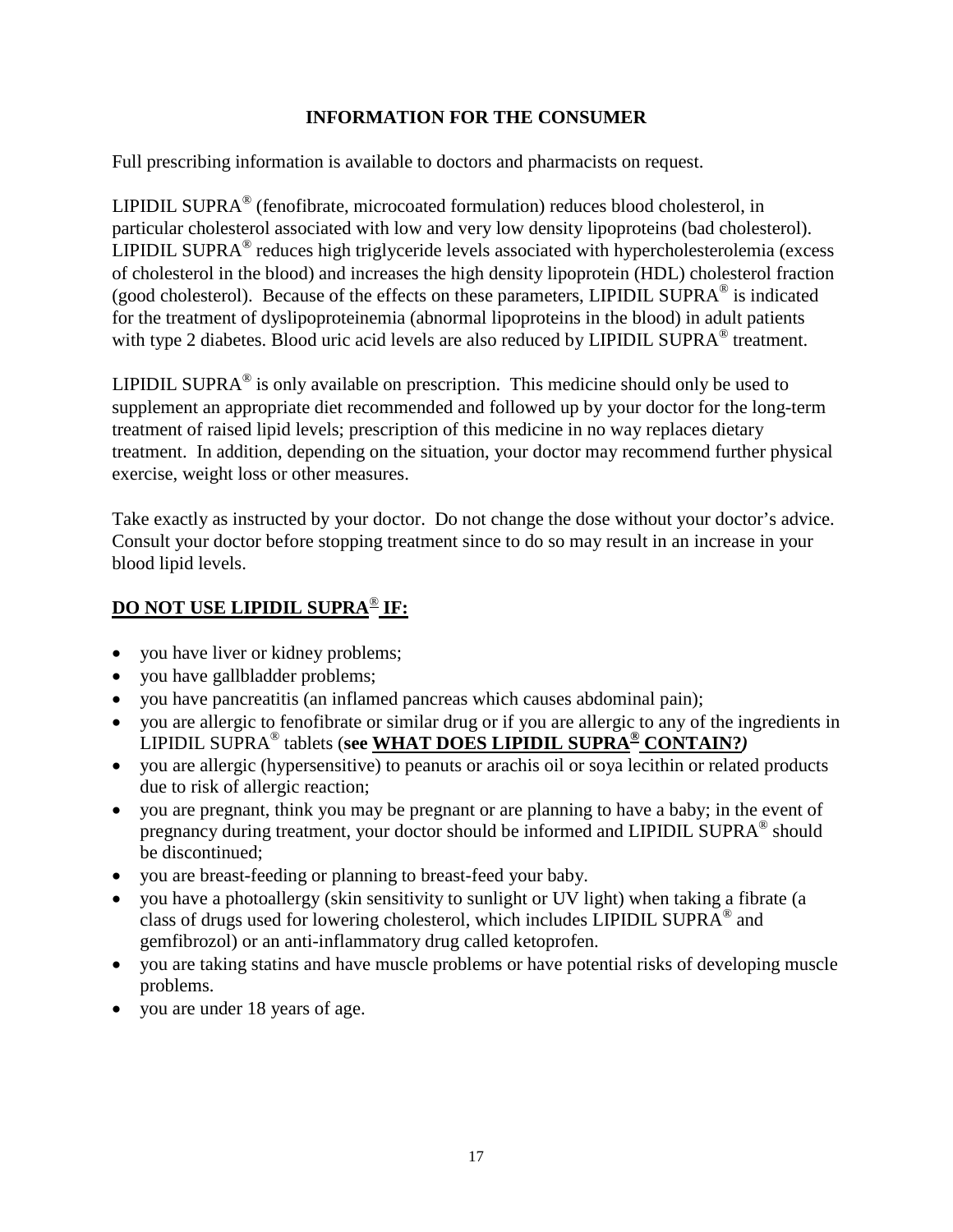#### **INFORMATION FOR THE CONSUMER**

Full prescribing information is available to doctors and pharmacists on request.

LIPIDIL SUPRA® (fenofibrate, microcoated formulation) reduces blood cholesterol, in particular cholesterol associated with low and very low density lipoproteins (bad cholesterol). LIPIDIL SUPRA<sup>®</sup> reduces high triglyceride levels associated with hypercholesterolemia (excess of cholesterol in the blood) and increases the high density lipoprotein (HDL) cholesterol fraction (good cholesterol). Because of the effects on these parameters, LIPIDIL SUPRA<sup>®</sup> is indicated for the treatment of dyslipoproteinemia (abnormal lipoproteins in the blood) in adult patients with type 2 diabetes. Blood uric acid levels are also reduced by LIPIDIL SUPRA<sup>®</sup> treatment.

LIPIDIL SUPRA $^{\circ}$  is only available on prescription. This medicine should only be used to supplement an appropriate diet recommended and followed up by your doctor for the long-term treatment of raised lipid levels; prescription of this medicine in no way replaces dietary treatment. In addition, depending on the situation, your doctor may recommend further physical exercise, weight loss or other measures.

Take exactly as instructed by your doctor. Do not change the dose without your doctor's advice. Consult your doctor before stopping treatment since to do so may result in an increase in your blood lipid levels.

# **DO NOT USE LIPIDIL SUPRA**® **IF:**

- you have liver or kidney problems;
- you have gallbladder problems;
- you have pancreatitis (an inflamed pancreas which causes abdominal pain);
- vou are allergic to fenofibrate or similar drug or if you are allergic to any of the ingredients in LIPIDIL SUPRA® tablets (**see WHAT DOES LIPIDIL SUPRA® CONTAIN?***)*
- you are allergic (hypersensitive) to peanuts or arachis oil or soya lecithin or related products due to risk of allergic reaction;
- you are pregnant, think you may be pregnant or are planning to have a baby; in the event of pregnancy during treatment, your doctor should be informed and LIPIDIL SUPRA<sup>®</sup> should be discontinued;
- you are breast-feeding or planning to breast-feed your baby.
- you have a photoallergy (skin sensitivity to sunlight or UV light) when taking a fibrate (a class of drugs used for lowering cholesterol, which includes LIPIDIL SUPRA $^{\circ}$  and gemfibrozol) or an anti-inflammatory drug called ketoprofen.
- you are taking statins and have muscle problems or have potential risks of developing muscle problems.
- you are under 18 years of age.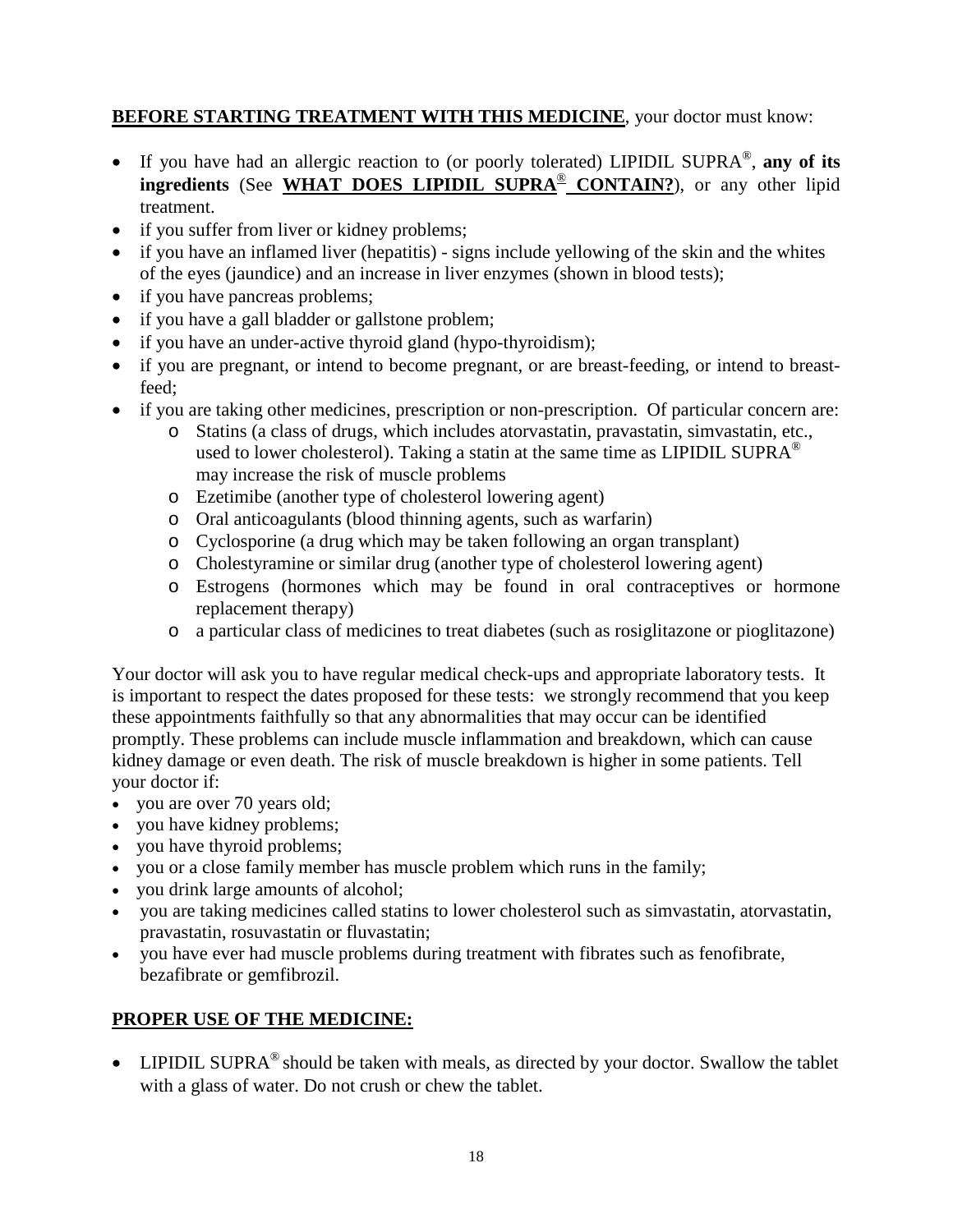# **BEFORE STARTING TREATMENT WITH THIS MEDICINE**, your doctor must know:

- If you have had an allergic reaction to (or poorly tolerated) LIPIDIL SUPRA®, **any of its ingredients** (See **WHAT DOES LIPIDIL SUPRA**® **CONTAIN?**), or any other lipid treatment.
- if you suffer from liver or kidney problems;
- if you have an inflamed liver (hepatitis) signs include yellowing of the skin and the whites of the eyes (jaundice) and an increase in liver enzymes (shown in blood tests);
- if you have pancreas problems;
- if you have a gall bladder or gallstone problem;
- if you have an under-active thyroid gland (hypo-thyroidism);
- if you are pregnant, or intend to become pregnant, or are breast-feeding, or intend to breastfeed;
- if you are taking other medicines, prescription or non-prescription. Of particular concern are:
	- o Statins (a class of drugs, which includes atorvastatin, pravastatin, simvastatin, etc., used to lower cholesterol). Taking a statin at the same time as LIPIDIL SUPRA<sup>®</sup> may increase the risk of muscle problems
	- o Ezetimibe (another type of cholesterol lowering agent)
	- o Oral anticoagulants (blood thinning agents, such as warfarin)
	- o Cyclosporine (a drug which may be taken following an organ transplant)
	- o Cholestyramine or similar drug (another type of cholesterol lowering agent)
	- o Estrogens (hormones which may be found in oral contraceptives or hormone replacement therapy)
	- o a particular class of medicines to treat diabetes (such as rosiglitazone or pioglitazone)

Your doctor will ask you to have regular medical check-ups and appropriate laboratory tests. It is important to respect the dates proposed for these tests: we strongly recommend that you keep these appointments faithfully so that any abnormalities that may occur can be identified promptly. These problems can include muscle inflammation and breakdown, which can cause kidney damage or even death. The risk of muscle breakdown is higher in some patients. Tell your doctor if:

- you are over 70 years old;
- you have kidney problems;
- you have thyroid problems;
- you or a close family member has muscle problem which runs in the family;
- you drink large amounts of alcohol;
- you are taking medicines called statins to lower cholesterol such as simvastatin, atorvastatin, pravastatin, rosuvastatin or fluvastatin;
- you have ever had muscle problems during treatment with fibrates such as fenofibrate, bezafibrate or gemfibrozil.

## **PROPER USE OF THE MEDICINE:**

• LIPIDIL SUPRA<sup>®</sup> should be taken with meals, as directed by your doctor. Swallow the tablet with a glass of water. Do not crush or chew the tablet.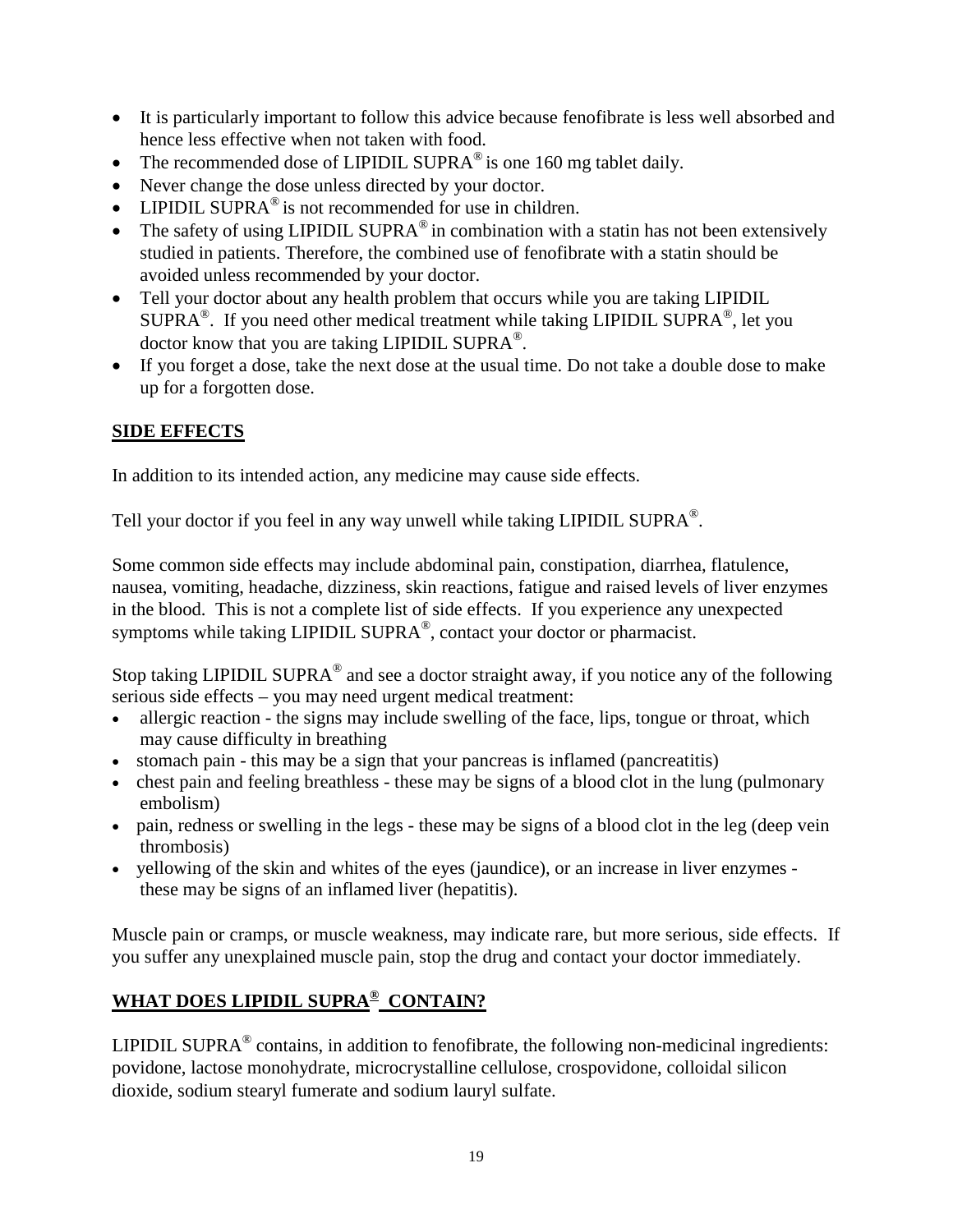- It is particularly important to follow this advice because fenofibrate is less well absorbed and hence less effective when not taken with food.
- The recommended dose of LIPIDIL SUPRA<sup>®</sup> is one 160 mg tablet daily.
- Never change the dose unless directed by your doctor.
- LIPIDIL SUPRA<sup>®</sup> is not recommended for use in children.
- The safety of using LIPIDIL SUPRA<sup>®</sup> in combination with a statin has not been extensively studied in patients. Therefore, the combined use of fenofibrate with a statin should be avoided unless recommended by your doctor.
- Tell your doctor about any health problem that occurs while you are taking LIPIDIL  $\text{SUPRA}^{\circledast}$ . If you need other medical treatment while taking LIPIDIL SUPRA $^{\circledast}$ , let you doctor know that you are taking LIPIDIL SUPRA®.
- If you forget a dose, take the next dose at the usual time. Do not take a double dose to make up for a forgotten dose.

### **SIDE EFFECTS**

In addition to its intended action, any medicine may cause side effects.

Tell your doctor if you feel in any way unwell while taking LIPIDIL SUPRA®.

Some common side effects may include abdominal pain, constipation, diarrhea, flatulence, nausea, vomiting, headache, dizziness, skin reactions, fatigue and raised levels of liver enzymes in the blood. This is not a complete list of side effects. If you experience any unexpected symptoms while taking LIPIDIL SUPRA®, contact your doctor or pharmacist.

Stop taking LIPIDIL SUPRA<sup>®</sup> and see a doctor straight away, if you notice any of the following serious side effects – you may need urgent medical treatment:

- allergic reaction the signs may include swelling of the face, lips, tongue or throat, which may cause difficulty in breathing
- stomach pain this may be a sign that your pancreas is inflamed (pancreatitis)
- chest pain and feeling breathless these may be signs of a blood clot in the lung (pulmonary embolism)
- pain, redness or swelling in the legs these may be signs of a blood clot in the leg (deep vein thrombosis)
- yellowing of the skin and whites of the eyes (jaundice), or an increase in liver enzymes these may be signs of an inflamed liver (hepatitis).

Muscle pain or cramps, or muscle weakness, may indicate rare, but more serious, side effects. If you suffer any unexplained muscle pain, stop the drug and contact your doctor immediately.

# **WHAT DOES LIPIDIL SUPRA® CONTAIN?**

LIPIDIL SUPRA $^{\circ}$  contains, in addition to fenofibrate, the following non-medicinal ingredients: povidone, lactose monohydrate, microcrystalline cellulose, crospovidone, colloidal silicon dioxide, sodium stearyl fumerate and sodium lauryl sulfate.